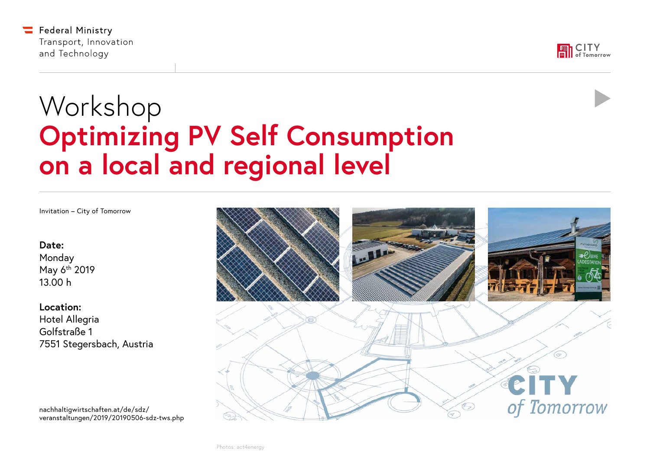



# Workshop **Optimizing PV Self Consumption on a local and regional level**

Invitation – City of Tomorrow

**Date:**

Monday May 6th 2019 13.00 h

**Location:** Hotel Allegria Golfstraße 1 7551 Stegersbach, Austria

nachhaltigwirtschaften.at/de/sdz/ [veranstaltungen/2019/20190506-sdz-tws.php](https://nachhaltigwirtschaften.at/de/sdz/veranstaltungen/2019/20190506-sdz-tws.php)

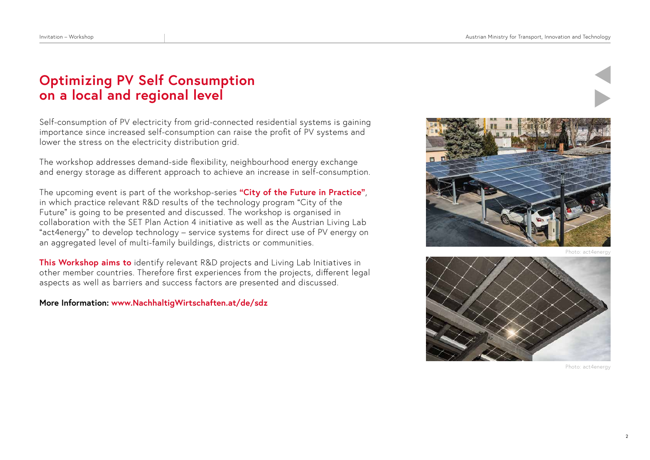# **Optimizing PV Self Consumption on a local and regional level**

Self-consumption of PV electricity from grid-connected residential systems is gaining importance since increased self-consumption can raise the profit of PV systems and lower the stress on the electricity distribution grid.

The workshop addresses demand-side flexibility, neighbourhood energy exchange and energy storage as different approach to achieve an increase in self-consumption.

The upcoming event is part of the workshop-series **"City of the Future in Practice"**, in which practice relevant R&D results of the technology program "City of the Future" is going to be presented and discussed. The workshop is organised in collaboration with the SET Plan Action 4 initiative as well as the Austrian Living Lab "act4energy" to develop technology – service systems for direct use of PV energy on an aggregated level of multi-family buildings, districts or communities.

**This Workshop aims to** identify relevant R&D projects and Living Lab Initiatives in other member countries. Therefore first experiences from the projects, different legal aspects as well as barriers and success factors are presented and discussed.

**More Information: www.NachhaltigWirtschaften.at/de/sdz** 



Photo: act4e



Photo: act4energy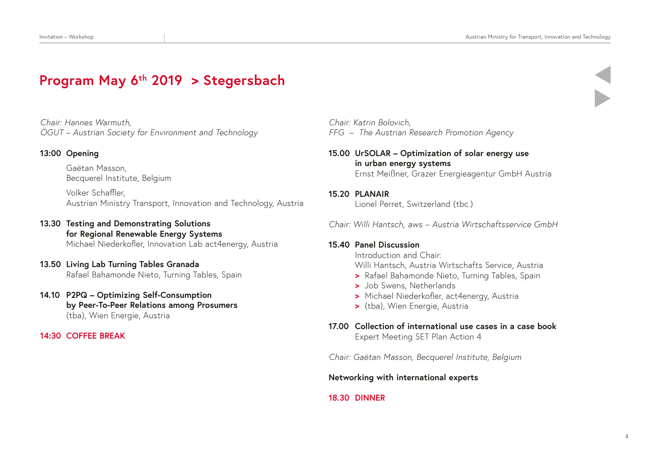# **Program May 6th 2019 > Stegersbach**

*Chair: Hannes Warmuth, ÖGUT – Austrian Society for Environment and Technology*

# **13:00 Opening**

Gaëtan Masson, Becquerel Institute, Belgium

Volker Schaffler, Austrian Ministry Transport, Innovation and Technology, Austria

## **13.30 Testing and Demonstrating Solutions for Regional Renewable Energy Systems** Michael Niederkofler, Innovation Lab act4energy, Austria

## **13.50 Living Lab Turning Tables Granada**  Rafael Bahamonde Nieto, Turning Tables, Spain

## **14.10 P2PQ – Optimizing Self-Consumption by Peer-To-Peer Relations among Prosumers** (tba), Wien Energie, Austria

## **14:30 COFFEE BREAK**

*Chair: Katrin Bolovich, FFG – The Austrian Research Promotion Agency*

- **15.00 UrSOLAR Optimization of solar energy use in urban energy systems** Ernst Meißner, Grazer Energieagentur GmbH Austria
- **15.20 PLANAIR**

Lionel Perret, Switzerland (tbc.)

*Chair: Willi Hantsch, aws – Austria Wirtschaftsservice GmbH*

#### **15.40 Panel Discussion**

Introduction and Chair: Willi Hantsch, Austria Wirtschafts Service, Austria

- **>** Rafael Bahamonde Nieto, Turning Tables, Spain
- **>** Job Swens, Netherlands
- **>** Michael Niederkofler, act4energy, Austria
- **>** (tba), Wien Energie, Austria

# **17.00 Collection of international use cases in a case book**  Expert Meeting SET Plan Action 4

*Chair: Gaëtan Masson, Becquerel Institute, Belgium*

**Networking with international experts**

**18.30 DINNER**